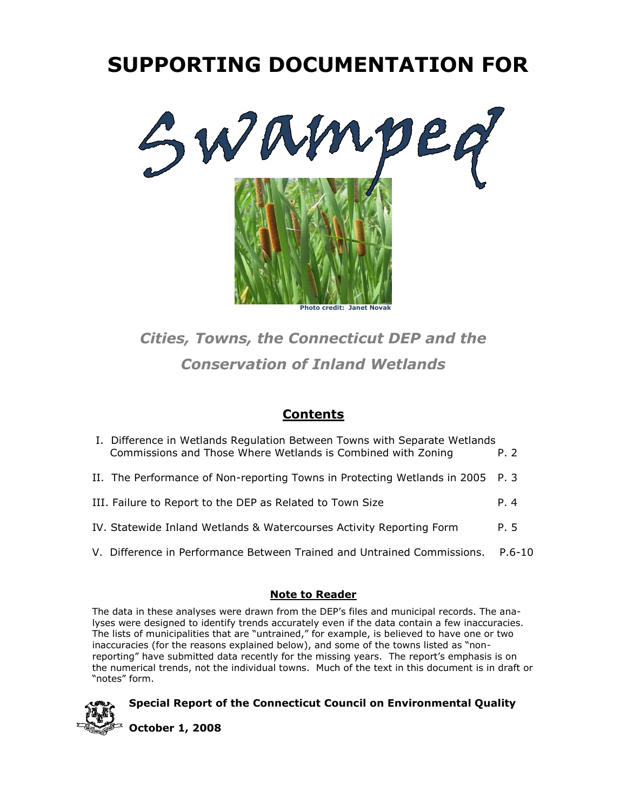# **SUPPORTING DOCUMENTATION FOR**



## *Cities, Towns, the Connecticut DEP and the Conservation of Inland Wetlands*

## **Contents**

| <b>Note to Reader</b>                                                                                                                     |            |
|-------------------------------------------------------------------------------------------------------------------------------------------|------------|
| V. Difference in Performance Between Trained and Untrained Commissions.                                                                   | $P.6 - 10$ |
| IV. Statewide Inland Wetlands & Watercourses Activity Reporting Form                                                                      | P. 5       |
| III. Failure to Report to the DEP as Related to Town Size                                                                                 | P. 4       |
| II. The Performance of Non-reporting Towns in Protecting Wetlands in 2005 P. 3                                                            |            |
| I. Difference in Wetlands Regulation Between Towns with Separate Wetlands<br>Commissions and Those Where Wetlands is Combined with Zoning | P. 2       |

The data in these analyses were drawn from the DEP's files and municipal records. The analyses were designed to identify trends accurately even if the data contain a few inaccuracies. The lists of municipalities that are "untrained," for example, is believed to have one or two inaccuracies (for the reasons explained below), and some of the towns listed as "nonreporting" have submitted data recently for the missing years. The report's emphasis is on the numerical trends, not the individual towns. Much of the text in this document is in draft or "notes" form.

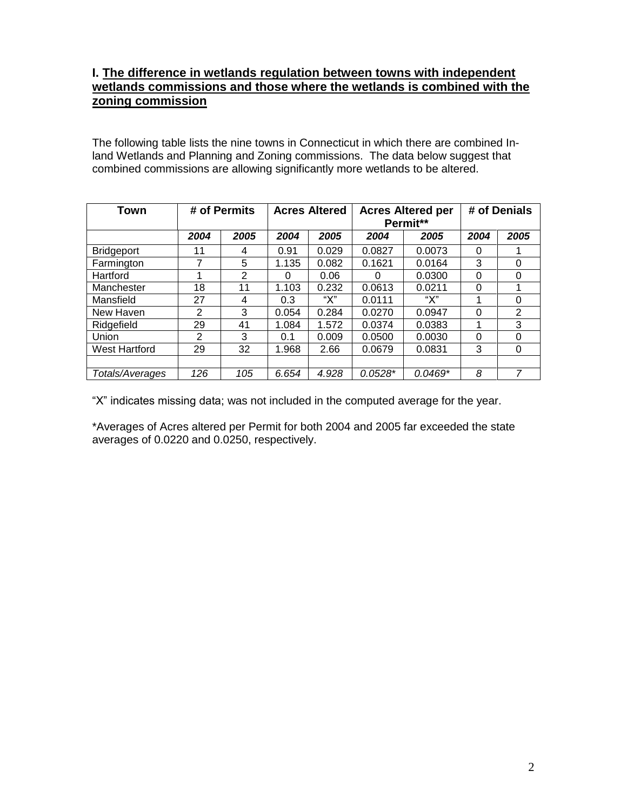## **I. The difference in wetlands regulation between towns with independent wetlands commissions and those where the wetlands is combined with the zoning commission**

The following table lists the nine towns in Connecticut in which there are combined Inland Wetlands and Planning and Zoning commissions. The data below suggest that combined commissions are allowing significantly more wetlands to be altered.

| <b>Town</b>          |                | # of Permits   | <b>Acres Altered</b> |       | <b>Acres Altered per</b><br>Permit** |           | # of Denials |      |
|----------------------|----------------|----------------|----------------------|-------|--------------------------------------|-----------|--------------|------|
|                      | 2004           | 2005           | 2004                 | 2005  | 2004                                 | 2005      | 2004         | 2005 |
| <b>Bridgeport</b>    | 11             | 4              | 0.91                 | 0.029 | 0.0827                               | 0.0073    | 0            |      |
| Farmington           | 7              | 5              | 1.135                | 0.082 | 0.1621                               | 0.0164    | 3            | 0    |
| Hartford             | 1              | $\overline{2}$ | O                    | 0.06  |                                      | 0.0300    | 0            | 0    |
| Manchester           | 18             | 11             | 1.103                | 0.232 | 0.0613                               | 0.0211    | $\Omega$     |      |
| Mansfield            | 27             | 4              | 0.3                  | "Х"   | 0.0111                               | "Х"       | 1            | 0    |
| New Haven            | $\overline{2}$ | 3              | 0.054                | 0.284 | 0.0270                               | 0.0947    | $\Omega$     | 2    |
| Ridgefield           | 29             | 41             | 1.084                | 1.572 | 0.0374                               | 0.0383    | 1            | 3    |
| Union                | 2              | 3              | 0.1                  | 0.009 | 0.0500                               | 0.0030    | $\Omega$     | 0    |
| <b>West Hartford</b> | 29             | 32             | 1.968                | 2.66  | 0.0679                               | 0.0831    | 3            | 0    |
|                      |                |                |                      |       |                                      |           |              |      |
| Totals/Averages      | 126            | 105            | 6.654                | 4.928 | $0.0528*$                            | $0.0469*$ | 8            | 7    |

"X" indicates missing data; was not included in the computed average for the year.

\*Averages of Acres altered per Permit for both 2004 and 2005 far exceeded the state averages of 0.0220 and 0.0250, respectively.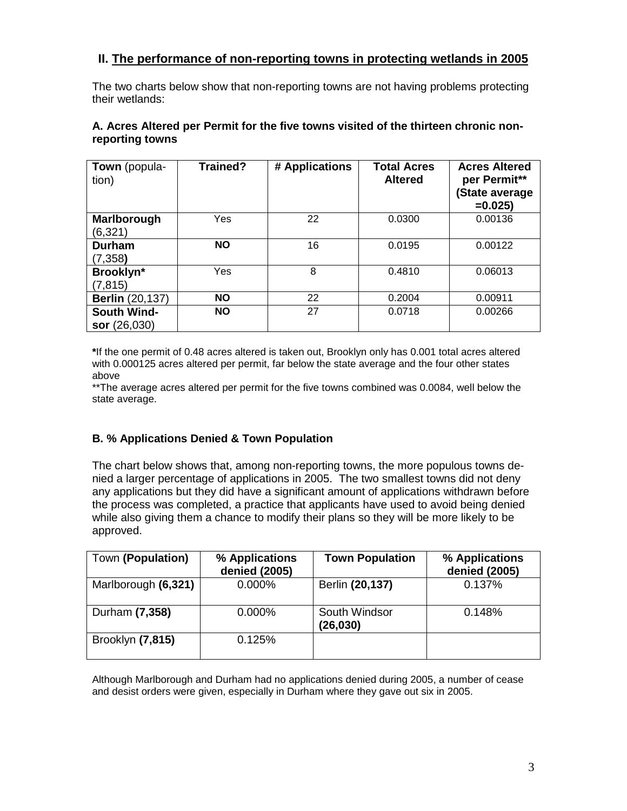## **II. The performance of non-reporting towns in protecting wetlands in 2005**

The two charts below show that non-reporting towns are not having problems protecting their wetlands:

| <b>Town</b> (popula-<br>tion) | Trained?  | # Applications | <b>Total Acres</b><br><b>Altered</b> | <b>Acres Altered</b><br>per Permit**<br>(State average |
|-------------------------------|-----------|----------------|--------------------------------------|--------------------------------------------------------|
|                               |           |                |                                      | $=0.025$                                               |
| Marlborough                   | Yes       | 22             | 0.0300                               | 0.00136                                                |
| (6,321)                       |           |                |                                      |                                                        |
| <b>Durham</b>                 | <b>NO</b> | 16             | 0.0195                               | 0.00122                                                |
| (7, 358)                      |           |                |                                      |                                                        |
| Brooklyn*                     | Yes       | 8              | 0.4810                               | 0.06013                                                |
| (7, 815)                      |           |                |                                      |                                                        |
| <b>Berlin</b> (20,137)        | <b>NO</b> | 22             | 0.2004                               | 0.00911                                                |
| <b>South Wind-</b>            | <b>NO</b> | 27             | 0.0718                               | 0.00266                                                |
| sor (26,030)                  |           |                |                                      |                                                        |

### **A. Acres Altered per Permit for the five towns visited of the thirteen chronic nonreporting towns**

**\***If the one permit of 0.48 acres altered is taken out, Brooklyn only has 0.001 total acres altered with 0.000125 acres altered per permit, far below the state average and the four other states above

\*\*The average acres altered per permit for the five towns combined was 0.0084, well below the state average.

## **B. % Applications Denied & Town Population**

The chart below shows that, among non-reporting towns, the more populous towns denied a larger percentage of applications in 2005. The two smallest towns did not deny any applications but they did have a significant amount of applications withdrawn before the process was completed, a practice that applicants have used to avoid being denied while also giving them a chance to modify their plans so they will be more likely to be approved.

| Town (Population)   | % Applications<br>denied (2005) | <b>Town Population</b>    | % Applications<br>denied (2005) |
|---------------------|---------------------------------|---------------------------|---------------------------------|
| Marlborough (6,321) | 0.000%                          | Berlin (20,137)           | 0.137%                          |
| Durham (7,358)      | 0.000%                          | South Windsor<br>(26,030) | 0.148%                          |
| Brooklyn (7,815)    | 0.125%                          |                           |                                 |

Although Marlborough and Durham had no applications denied during 2005, a number of cease and desist orders were given, especially in Durham where they gave out six in 2005.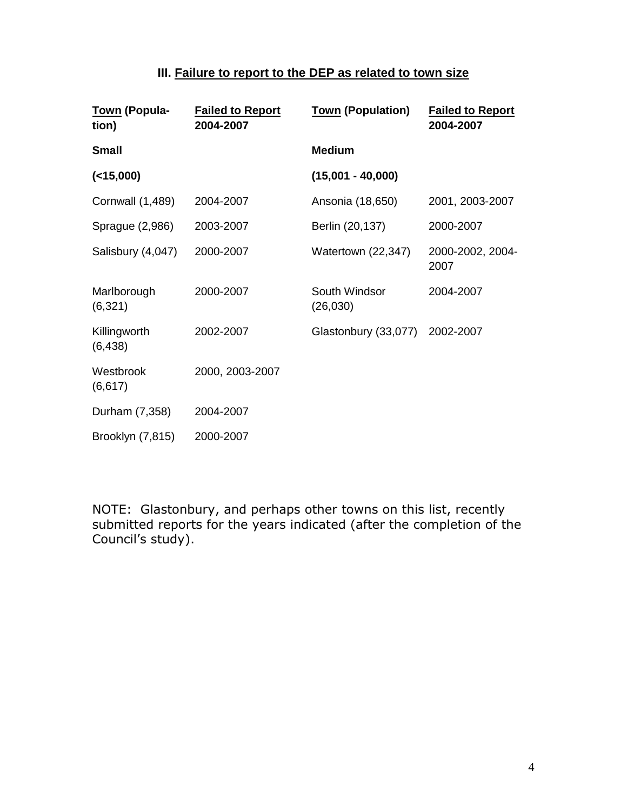## **III. Failure to report to the DEP as related to town size**

| Town (Popula-<br>tion)   | <b>Failed to Report</b><br>2004-2007 | <b>Town (Population)</b>  | <b>Failed to Report</b><br>2004-2007 |
|--------------------------|--------------------------------------|---------------------------|--------------------------------------|
| <b>Small</b>             |                                      | <b>Medium</b>             |                                      |
| ( < 15,000)              |                                      | $(15,001 - 40,000)$       |                                      |
| <b>Cornwall (1,489)</b>  | 2004-2007                            | Ansonia (18,650)          | 2001, 2003-2007                      |
| Sprague (2,986)          | 2003-2007                            | Berlin (20,137)           | 2000-2007                            |
| Salisbury (4,047)        | 2000-2007                            | Watertown (22,347)        | 2000-2002, 2004-<br>2007             |
| Marlborough<br>(6,321)   | 2000-2007                            | South Windsor<br>(26,030) | 2004-2007                            |
| Killingworth<br>(6, 438) | 2002-2007                            | Glastonbury (33,077)      | 2002-2007                            |
| Westbrook<br>(6, 617)    | 2000, 2003-2007                      |                           |                                      |
| Durham (7,358)           | 2004-2007                            |                           |                                      |
| Brooklyn (7,815)         | 2000-2007                            |                           |                                      |

NOTE: Glastonbury, and perhaps other towns on this list, recently submitted reports for the years indicated (after the completion of the Council's study).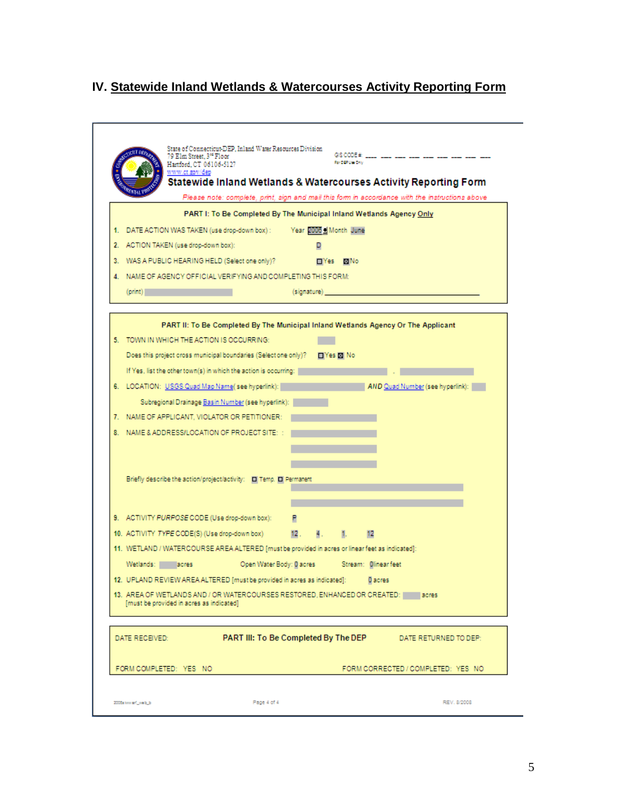## **IV. Statewide Inland Wetlands & Watercourses Activity Reporting Form**

|                |                                          |                                                                                                 |                                                                                                                |     |         | Statewide Inland Wetlands & Watercourses Activity Reporting Form<br>Please note: complete, print, sign and mail this form in accordance with the instructions above |  |
|----------------|------------------------------------------|-------------------------------------------------------------------------------------------------|----------------------------------------------------------------------------------------------------------------|-----|---------|---------------------------------------------------------------------------------------------------------------------------------------------------------------------|--|
|                |                                          | PART I: To Be Completed By The Municipal Inland Wetlands Agency Only                            |                                                                                                                |     |         |                                                                                                                                                                     |  |
|                |                                          | 1. DATE ACTION WAS TAKEN (use drop-down box) : Year 2006 ± Month June                           |                                                                                                                |     |         |                                                                                                                                                                     |  |
|                | 2. ACTION TAKEN (use drop-down box):     |                                                                                                 | D                                                                                                              |     |         |                                                                                                                                                                     |  |
|                |                                          | 3. WAS A PUBLIC HEARING HELD (Selectione only)? The TYes MINo                                   |                                                                                                                |     |         |                                                                                                                                                                     |  |
|                |                                          | 4. NAME OF AGENCY OFFICIAL VERIFYING AND COMPLETING THIS FORM:                                  |                                                                                                                |     |         |                                                                                                                                                                     |  |
| (print)        |                                          |                                                                                                 | (signature) and the same of the same of the same of the same of the same of the same of the same of the same o |     |         |                                                                                                                                                                     |  |
|                |                                          |                                                                                                 |                                                                                                                |     |         |                                                                                                                                                                     |  |
|                |                                          |                                                                                                 |                                                                                                                |     |         | PART II: To Be Completed By The Municipal Inland Wetlands Agency Or The Applicant                                                                                   |  |
|                |                                          | 5. TOWN IN WHICH THE ACTION IS OCCURRING:                                                       |                                                                                                                |     |         |                                                                                                                                                                     |  |
|                |                                          | Does this project cross municipal boundaries (Selectione only)? [No [X] No                      |                                                                                                                |     |         |                                                                                                                                                                     |  |
|                |                                          | If Yes, list the other town(s) in which the action is occurring:                                |                                                                                                                |     |         |                                                                                                                                                                     |  |
|                |                                          | 6. LOCATION: USGS Quad Map Name(see hyperlink): When the Case of Australian Control of          |                                                                                                                |     |         | AND Quad Number (see hyperlink):                                                                                                                                    |  |
|                |                                          | Subregional Drainage Basin Number (see hyperlink):                                              |                                                                                                                |     |         |                                                                                                                                                                     |  |
|                |                                          | 7. NAME OF APPLICANT, VIOLATOR OR PETITIONER:                                                   |                                                                                                                |     |         |                                                                                                                                                                     |  |
|                |                                          | 8. NAME & ADDRESS/LOCATION OF PROJECT SITE: :                                                   |                                                                                                                |     |         |                                                                                                                                                                     |  |
|                |                                          |                                                                                                 |                                                                                                                |     |         |                                                                                                                                                                     |  |
|                |                                          |                                                                                                 |                                                                                                                |     |         |                                                                                                                                                                     |  |
|                |                                          | Briefly describe the action/project/activity: IT Temp. IT Permanent                             |                                                                                                                |     |         |                                                                                                                                                                     |  |
|                |                                          |                                                                                                 |                                                                                                                |     |         |                                                                                                                                                                     |  |
|                |                                          | 9. ACTIVITY PURPOSE CODE (Use drop-down box):                                                   |                                                                                                                |     |         |                                                                                                                                                                     |  |
|                |                                          | 10. ACTIVITY TYPE CODE(S) (Use drop-down box)                                                   | 12. 4.                                                                                                         | -1. | 12      |                                                                                                                                                                     |  |
|                |                                          | 11. WETLAND / WATERCOURSE AREA ALTERED [must be provided in acres or linear feet as indicated]: |                                                                                                                |     |         |                                                                                                                                                                     |  |
|                |                                          | Wetlands: Macres Macres Open Water Body: 0 acres Stream: 0 linear feet                          |                                                                                                                |     |         |                                                                                                                                                                     |  |
|                |                                          | 12. UPLAND REVIEW AREA ALTERED [must be provided in acres as indicated]:                        |                                                                                                                |     | 0 acres |                                                                                                                                                                     |  |
|                |                                          |                                                                                                 |                                                                                                                |     |         | 13. AREA OF WETLANDS AND / OR WATERCOURSES RESTORED, ENHANCED OR CREATED: [180765                                                                                   |  |
|                | [must be provided in acres as indicated] |                                                                                                 |                                                                                                                |     |         |                                                                                                                                                                     |  |
|                |                                          |                                                                                                 |                                                                                                                |     |         |                                                                                                                                                                     |  |
| DATE RECEIVED: |                                          |                                                                                                 |                                                                                                                |     |         | PART III: To Be Completed By The DEP DATE RETURNED TO DEP:                                                                                                          |  |
|                |                                          |                                                                                                 |                                                                                                                |     |         |                                                                                                                                                                     |  |
|                | FORM COMPLETED: YES NO                   |                                                                                                 |                                                                                                                |     |         | FORM CORRECTED / COMPLETED: YES NO                                                                                                                                  |  |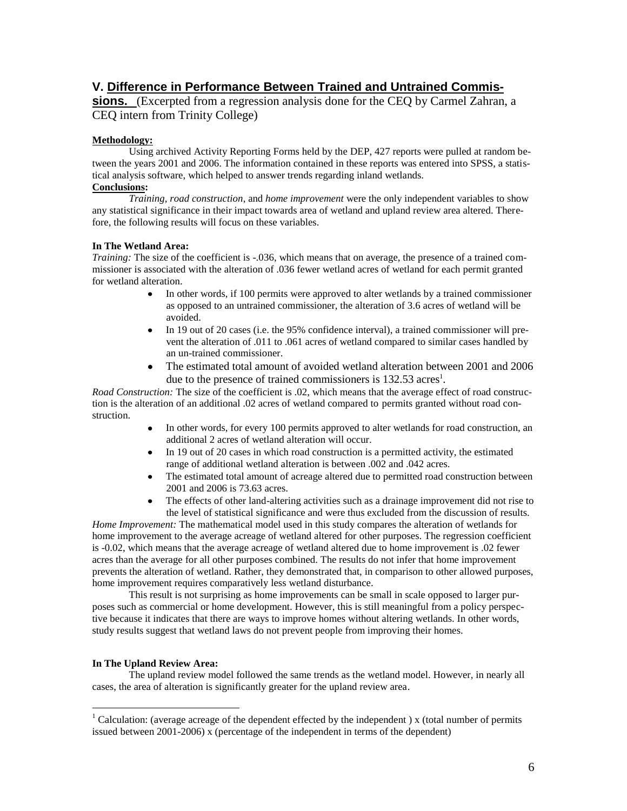## **V. Difference in Performance Between Trained and Untrained Commis-**

**sions.** (Excerpted from a regression analysis done for the CEQ by Carmel Zahran, a CEQ intern from Trinity College)

#### **Methodology:**

Using archived Activity Reporting Forms held by the DEP, 427 reports were pulled at random between the years 2001 and 2006. The information contained in these reports was entered into SPSS, a statistical analysis software, which helped to answer trends regarding inland wetlands.

## **Conclusions:**

*Training, road construction*, and *home improvement* were the only independent variables to show any statistical significance in their impact towards area of wetland and upland review area altered. Therefore, the following results will focus on these variables.

#### **In The Wetland Area:**

*Training:* The size of the coefficient is -.036, which means that on average, the presence of a trained commissioner is associated with the alteration of .036 fewer wetland acres of wetland for each permit granted for wetland alteration.

- In other words, if 100 permits were approved to alter wetlands by a trained commissioner  $\bullet$ as opposed to an untrained commissioner, the alteration of 3.6 acres of wetland will be avoided.
- $\bullet$ In 19 out of 20 cases (i.e. the 95% confidence interval), a trained commissioner will prevent the alteration of .011 to .061 acres of wetland compared to similar cases handled by an un-trained commissioner.
- The estimated total amount of avoided wetland alteration between 2001 and 2006 due to the presence of trained commissioners is  $132.53$  acres<sup>1</sup>.

*Road Construction:* The size of the coefficient is .02, which means that the average effect of road construction is the alteration of an additional .02 acres of wetland compared to permits granted without road construction.

- In other words, for every 100 permits approved to alter wetlands for road construction, an additional 2 acres of wetland alteration will occur.
- In 19 out of 20 cases in which road construction is a permitted activity, the estimated  $\bullet$ range of additional wetland alteration is between .002 and .042 acres.
- $\bullet$ The estimated total amount of acreage altered due to permitted road construction between 2001 and 2006 is 73.63 acres.
- The effects of other land-altering activities such as a drainage improvement did not rise to the level of statistical significance and were thus excluded from the discussion of results.

*Home Improvement:* The mathematical model used in this study compares the alteration of wetlands for home improvement to the average acreage of wetland altered for other purposes. The regression coefficient is -0.02, which means that the average acreage of wetland altered due to home improvement is .02 fewer acres than the average for all other purposes combined. The results do not infer that home improvement prevents the alteration of wetland. Rather, they demonstrated that, in comparison to other allowed purposes, home improvement requires comparatively less wetland disturbance.

This result is not surprising as home improvements can be small in scale opposed to larger purposes such as commercial or home development. However, this is still meaningful from a policy perspective because it indicates that there are ways to improve homes without altering wetlands. In other words, study results suggest that wetland laws do not prevent people from improving their homes.

#### **In The Upland Review Area:**

 $\overline{a}$ 

The upland review model followed the same trends as the wetland model. However, in nearly all cases, the area of alteration is significantly greater for the upland review area.

 $1$  Calculation: (average acreage of the dependent effected by the independent) x (total number of permits issued between 2001-2006) x (percentage of the independent in terms of the dependent)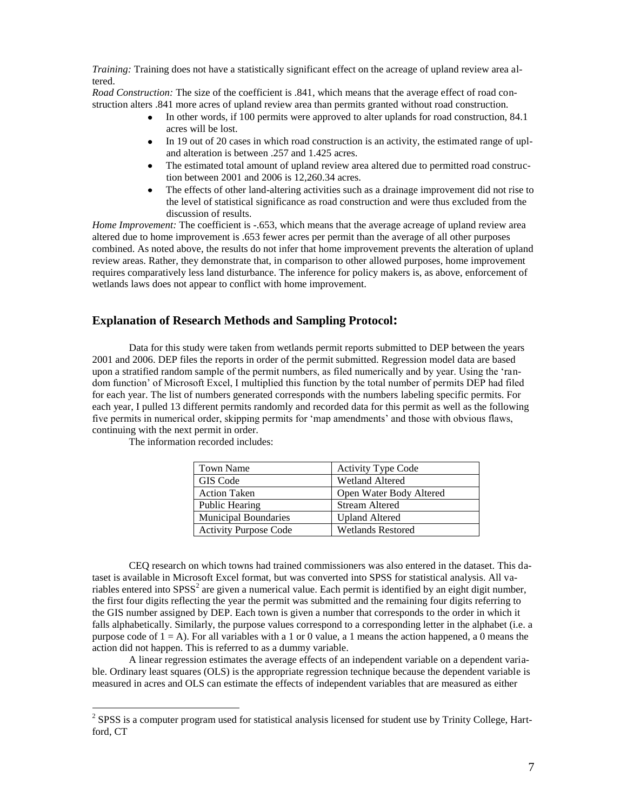*Training:* Training does not have a statistically significant effect on the acreage of upland review area altered.

*Road Construction:* The size of the coefficient is .841, which means that the average effect of road construction alters .841 more acres of upland review area than permits granted without road construction.

- In other words, if 100 permits were approved to alter uplands for road construction, 84.1 acres will be lost.
- In 19 out of 20 cases in which road construction is an activity, the estimated range of upl- $\bullet$ and alteration is between .257 and 1.425 acres.
- $\bullet$ The estimated total amount of upland review area altered due to permitted road construction between 2001 and 2006 is 12,260.34 acres.
- The effects of other land-altering activities such as a drainage improvement did not rise to  $\bullet$ the level of statistical significance as road construction and were thus excluded from the discussion of results.

*Home Improvement:* The coefficient is -.653, which means that the average acreage of upland review area altered due to home improvement is .653 fewer acres per permit than the average of all other purposes combined. As noted above, the results do not infer that home improvement prevents the alteration of upland review areas. Rather, they demonstrate that, in comparison to other allowed purposes, home improvement requires comparatively less land disturbance. The inference for policy makers is, as above, enforcement of wetlands laws does not appear to conflict with home improvement.

### **Explanation of Research Methods and Sampling Protocol:**

Data for this study were taken from wetlands permit reports submitted to DEP between the years 2001 and 2006. DEP files the reports in order of the permit submitted. Regression model data are based upon a stratified random sample of the permit numbers, as filed numerically and by year. Using the 'random function' of Microsoft Excel, I multiplied this function by the total number of permits DEP had filed for each year. The list of numbers generated corresponds with the numbers labeling specific permits. For each year, I pulled 13 different permits randomly and recorded data for this permit as well as the following five permits in numerical order, skipping permits for 'map amendments' and those with obvious flaws, continuing with the next permit in order.

| Town Name                    | <b>Activity Type Code</b> |
|------------------------------|---------------------------|
| GIS Code                     | <b>Wetland Altered</b>    |
| <b>Action Taken</b>          | Open Water Body Altered   |
| Public Hearing               | <b>Stream Altered</b>     |
| <b>Municipal Boundaries</b>  | <b>Upland Altered</b>     |
| <b>Activity Purpose Code</b> | <b>Wetlands Restored</b>  |

The information recorded includes:

CEQ research on which towns had trained commissioners was also entered in the dataset. This dataset is available in Microsoft Excel format, but was converted into SPSS for statistical analysis. All variables entered into SPSS<sup>2</sup> are given a numerical value. Each permit is identified by an eight digit number, the first four digits reflecting the year the permit was submitted and the remaining four digits referring to the GIS number assigned by DEP. Each town is given a number that corresponds to the order in which it falls alphabetically. Similarly, the purpose values correspond to a corresponding letter in the alphabet (i.e. a purpose code of  $1 = A$ ). For all variables with a 1 or 0 value, a 1 means the action happened, a 0 means the action did not happen. This is referred to as a dummy variable.

A linear regression estimates the average effects of an independent variable on a dependent variable. Ordinary least squares (OLS) is the appropriate regression technique because the dependent variable is measured in acres and OLS can estimate the effects of independent variables that are measured as either

<sup>&</sup>lt;sup>2</sup> SPSS is a computer program used for statistical analysis licensed for student use by Trinity College, Hartford, CT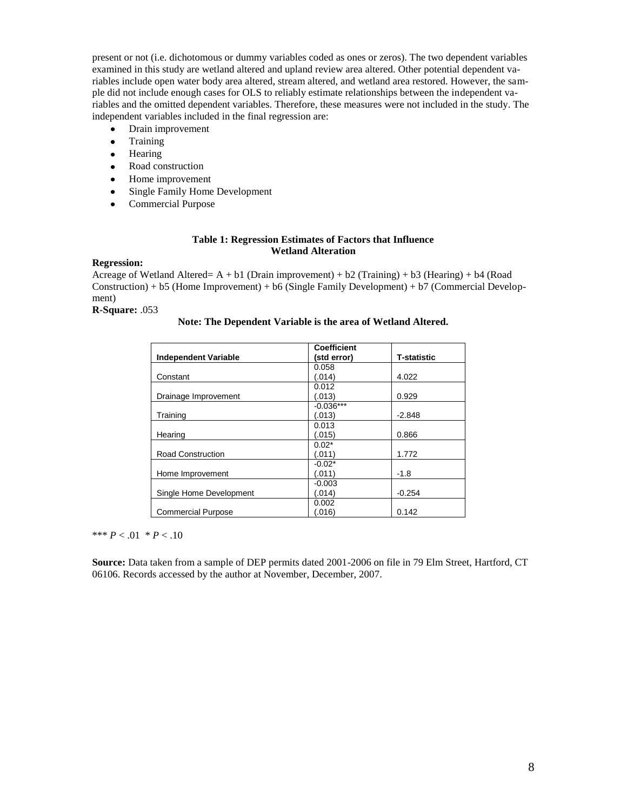present or not (i.e. dichotomous or dummy variables coded as ones or zeros). The two dependent variables examined in this study are wetland altered and upland review area altered. Other potential dependent variables include open water body area altered, stream altered, and wetland area restored. However, the sample did not include enough cases for OLS to reliably estimate relationships between the independent variables and the omitted dependent variables. Therefore, these measures were not included in the study. The independent variables included in the final regression are:

- Drain improvement  $\bullet$
- Training  $\bullet$
- $\bullet$ Hearing
- Road construction  $\bullet$
- $\bullet$ Home improvement
- Single Family Home Development  $\bullet$
- $\bullet$ Commercial Purpose

#### **Table 1: Regression Estimates of Factors that Influence Wetland Alteration**

#### **Regression:**

Acreage of Wetland Altered=  $A + b1$  (Drain improvement) + b2 (Training) + b3 (Hearing) + b4 (Road  $Construction$ ) + b5 (Home Improvement) + b6 (Single Family Development) + b7 (Commercial Development)

**R-Square:** .053

#### **Note: The Dependent Variable is the area of Wetland Altered.**

|                             | <b>Coefficient</b> |                    |
|-----------------------------|--------------------|--------------------|
| <b>Independent Variable</b> | (std error)        | <b>T-statistic</b> |
|                             | 0.058              |                    |
| Constant                    | (.014)             | 4.022              |
|                             | 0.012              |                    |
| Drainage Improvement        | (.013)             | 0.929              |
|                             | $-0.036***$        |                    |
| Training                    | (.013)             | $-2.848$           |
|                             | 0.013              |                    |
| Hearing                     | (.015)             | 0.866              |
|                             | $0.02*$            |                    |
| <b>Road Construction</b>    | (.011)             | 1.772              |
|                             | $-0.02*$           |                    |
| Home Improvement            | (.011)             | -1.8               |
|                             | $-0.003$           |                    |
| Single Home Development     | (.014)             | $-0.254$           |
|                             | 0.002              |                    |
| <b>Commercial Purpose</b>   | (.016)             | 0.142              |

\*\*\*  $P < .01 * P < .10$ 

**Source:** Data taken from a sample of DEP permits dated 2001-2006 on file in 79 Elm Street, Hartford, CT 06106. Records accessed by the author at November, December, 2007.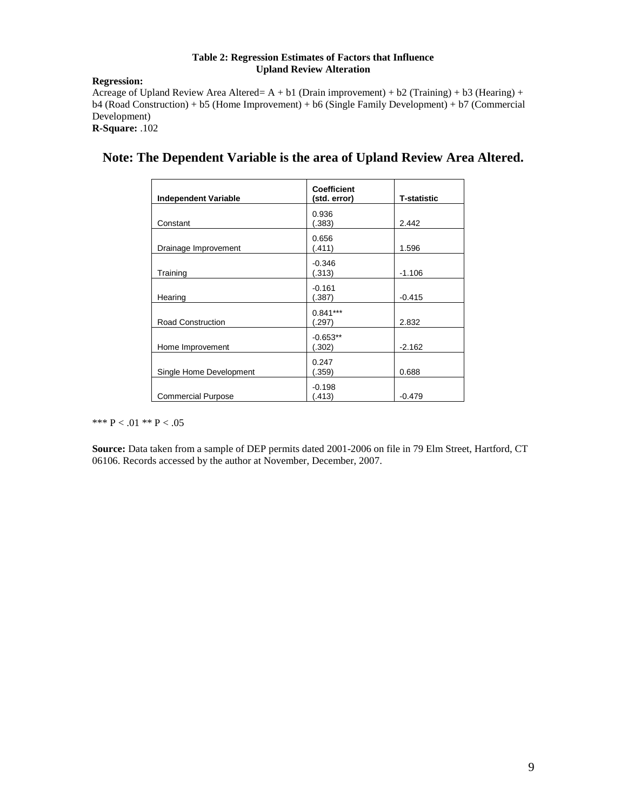#### **Table 2: Regression Estimates of Factors that Influence Upland Review Alteration**

#### **Regression:**

Acreage of Upland Review Area Altered= A + b1 (Drain improvement) + b2 (Training) + b3 (Hearing) + b4 (Road Construction) + b5 (Home Improvement) + b6 (Single Family Development) + b7 (Commercial Development) **R-Square:** .102

| <b>Independent Variable</b> | <b>Coefficient</b><br>(std. error) | <b>T-statistic</b> |
|-----------------------------|------------------------------------|--------------------|
| Constant                    | 0.936<br>(.383)                    | 2.442              |
| Drainage Improvement        | 0.656<br>(.411)                    | 1.596              |
| Training                    | $-0.346$<br>(.313)                 | $-1.106$           |
| Hearing                     | $-0.161$<br>(.387)                 | $-0.415$           |
| <b>Road Construction</b>    | $0.841***$<br>(.297)               | 2.832              |
| Home Improvement            | $-0.653**$<br>(.302)               | $-2.162$           |
| Single Home Development     | 0.247<br>(.359)                    | 0.688              |
| <b>Commercial Purpose</b>   | $-0.198$<br>(.413)                 | $-0.479$           |

## **Note: The Dependent Variable is the area of Upland Review Area Altered.**

\*\*\*  $P < .01$  \*\*  $P < .05$ 

**Source:** Data taken from a sample of DEP permits dated 2001-2006 on file in 79 Elm Street, Hartford, CT 06106. Records accessed by the author at November, December, 2007.